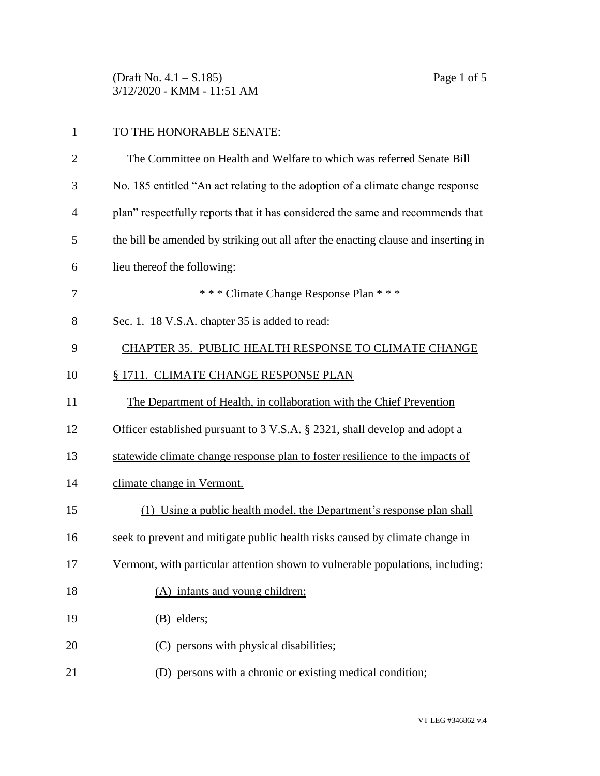(Draft No. 4.1 – S.185) Page 1 of 5 3/12/2020 - KMM - 11:51 AM

| $\overline{2}$ | The Committee on Health and Welfare to which was referred Senate Bill              |
|----------------|------------------------------------------------------------------------------------|
| 3              | No. 185 entitled "An act relating to the adoption of a climate change response     |
| 4              | plan" respectfully reports that it has considered the same and recommends that     |
| 5              | the bill be amended by striking out all after the enacting clause and inserting in |
| 6              | lieu thereof the following:                                                        |
| 7              | *** Climate Change Response Plan ***                                               |
| 8              | Sec. 1. 18 V.S.A. chapter 35 is added to read:                                     |
| 9              | CHAPTER 35. PUBLIC HEALTH RESPONSE TO CLIMATE CHANGE                               |
| 10             | § 1711. CLIMATE CHANGE RESPONSE PLAN                                               |
| 11             | The Department of Health, in collaboration with the Chief Prevention               |
| 12             | Officer established pursuant to 3 V.S.A. § 2321, shall develop and adopt a         |
| 13             | statewide climate change response plan to foster resilience to the impacts of      |
| 14             | climate change in Vermont.                                                         |
| 15             | (1) Using a public health model, the Department's response plan shall              |
| 16             | seek to prevent and mitigate public health risks caused by climate change in       |
| 17             | Vermont, with particular attention shown to vulnerable populations, including:     |
| 18             | (A) infants and young children;                                                    |
| 19             | $(B)$ elders;                                                                      |
| 20             | (C) persons with physical disabilities;                                            |
| 21             | (D) persons with a chronic or existing medical condition;                          |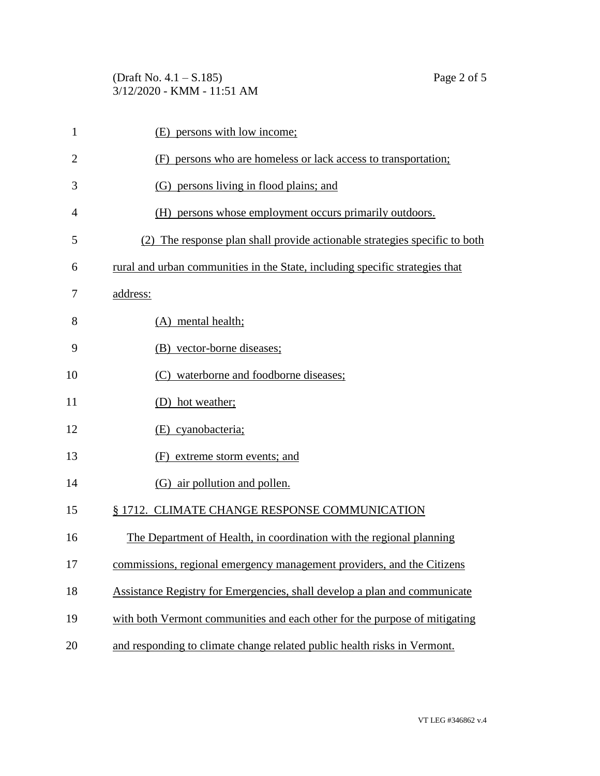| $\mathbf{1}$   | (E) persons with low income;                                                 |
|----------------|------------------------------------------------------------------------------|
| $\overline{2}$ | (F) persons who are homeless or lack access to transportation;               |
| 3              | (G) persons living in flood plains; and                                      |
| 4              | (H) persons whose employment occurs primarily outdoors.                      |
| 5              | (2) The response plan shall provide actionable strategies specific to both   |
| 6              | rural and urban communities in the State, including specific strategies that |
| 7              | address:                                                                     |
| 8              | (A) mental health;                                                           |
| 9              | (B) vector-borne diseases;                                                   |
| 10             | (C) waterborne and foodborne diseases;                                       |
| 11             | (D) hot weather;                                                             |
| 12             | (E) cyanobacteria;                                                           |
| 13             | (F) extreme storm events; and                                                |
| 14             | (G) air pollution and pollen.                                                |
| 15             | § 1712. CLIMATE CHANGE RESPONSE COMMUNICATION                                |
| 16             | The Department of Health, in coordination with the regional planning         |
| 17             | commissions, regional emergency management providers, and the Citizens       |
| 18             | Assistance Registry for Emergencies, shall develop a plan and communicate    |
| 19             | with both Vermont communities and each other for the purpose of mitigating   |
|                |                                                                              |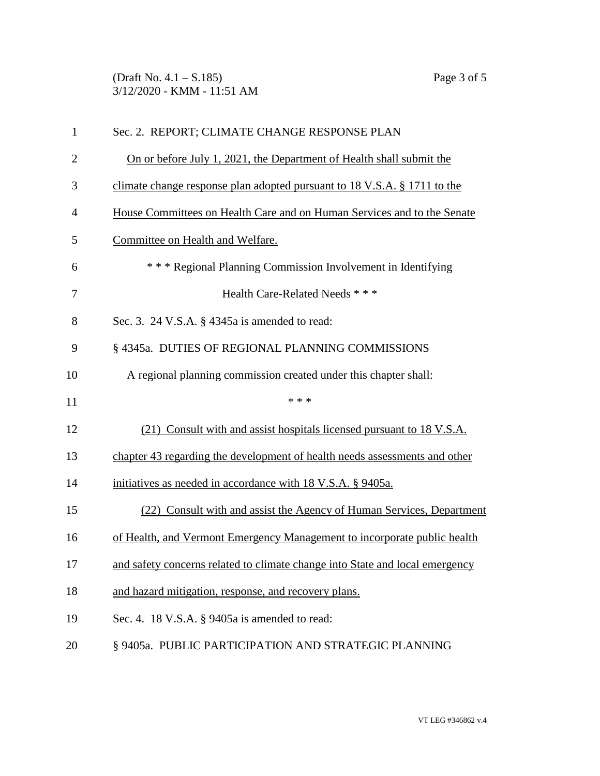(Draft No. 4.1 – S.185) Page 3 of 5 3/12/2020 - KMM - 11:51 AM

| 1              | Sec. 2. REPORT; CLIMATE CHANGE RESPONSE PLAN                                 |  |  |
|----------------|------------------------------------------------------------------------------|--|--|
| $\overline{2}$ | On or before July 1, 2021, the Department of Health shall submit the         |  |  |
| 3              | climate change response plan adopted pursuant to 18 V.S.A. § 1711 to the     |  |  |
| $\overline{4}$ | House Committees on Health Care and on Human Services and to the Senate      |  |  |
| 5              | Committee on Health and Welfare.                                             |  |  |
| 6              | *** Regional Planning Commission Involvement in Identifying                  |  |  |
| 7              | Health Care-Related Needs ***                                                |  |  |
| 8              | Sec. 3. 24 V.S.A. § 4345a is amended to read:                                |  |  |
| 9              | § 4345a. DUTIES OF REGIONAL PLANNING COMMISSIONS                             |  |  |
| 10             | A regional planning commission created under this chapter shall:             |  |  |
| 11             | * * *                                                                        |  |  |
| 12             | (21) Consult with and assist hospitals licensed pursuant to 18 V.S.A.        |  |  |
| 13             | chapter 43 regarding the development of health needs assessments and other   |  |  |
| 14             | initiatives as needed in accordance with 18 V.S.A. § 9405a.                  |  |  |
| 15             | (22) Consult with and assist the Agency of Human Services, Department        |  |  |
| 16             | of Health, and Vermont Emergency Management to incorporate public health     |  |  |
| 17             | and safety concerns related to climate change into State and local emergency |  |  |
| 18             | and hazard mitigation, response, and recovery plans.                         |  |  |
| 19             | Sec. 4. 18 V.S.A. $\S$ 9405a is amended to read:                             |  |  |
| 20             | § 9405a. PUBLIC PARTICIPATION AND STRATEGIC PLANNING                         |  |  |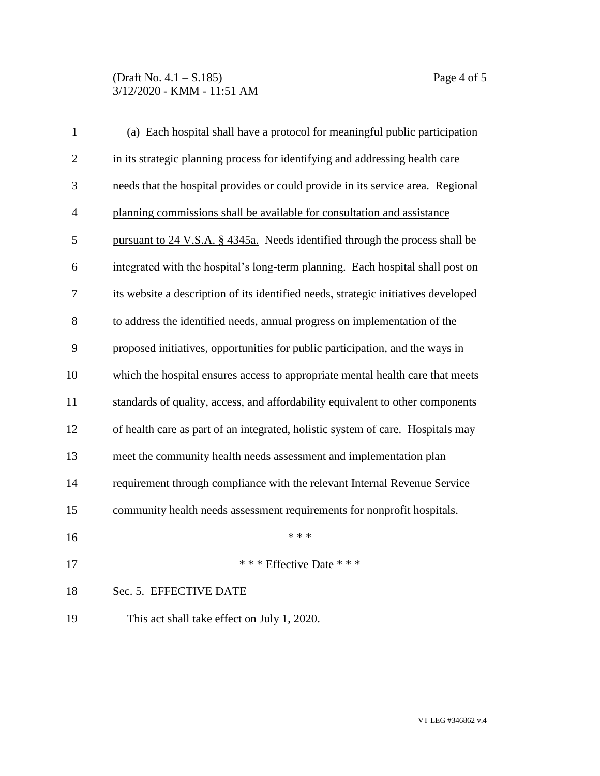## (Draft No. 4.1 – S.185) Page 4 of 5 3/12/2020 - KMM - 11:51 AM

| $\mathbf{1}$   | (a) Each hospital shall have a protocol for meaningful public participation        |  |  |  |
|----------------|------------------------------------------------------------------------------------|--|--|--|
| $\overline{2}$ | in its strategic planning process for identifying and addressing health care       |  |  |  |
| 3              | needs that the hospital provides or could provide in its service area. Regional    |  |  |  |
| $\overline{4}$ | planning commissions shall be available for consultation and assistance            |  |  |  |
| 5              | pursuant to 24 V.S.A. § 4345a. Needs identified through the process shall be       |  |  |  |
| 6              | integrated with the hospital's long-term planning. Each hospital shall post on     |  |  |  |
| 7              | its website a description of its identified needs, strategic initiatives developed |  |  |  |
| 8              | to address the identified needs, annual progress on implementation of the          |  |  |  |
| 9              | proposed initiatives, opportunities for public participation, and the ways in      |  |  |  |
| 10             | which the hospital ensures access to appropriate mental health care that meets     |  |  |  |
| 11             | standards of quality, access, and affordability equivalent to other components     |  |  |  |
| 12             | of health care as part of an integrated, holistic system of care. Hospitals may    |  |  |  |
| 13             | meet the community health needs assessment and implementation plan                 |  |  |  |
| 14             | requirement through compliance with the relevant Internal Revenue Service          |  |  |  |
| 15             | community health needs assessment requirements for nonprofit hospitals.            |  |  |  |
| 16             | * * *                                                                              |  |  |  |
| 17             | *** Effective Date ***                                                             |  |  |  |
| 18             | Sec. 5. EFFECTIVE DATE                                                             |  |  |  |
| 19             | This act shall take effect on July 1, 2020.                                        |  |  |  |